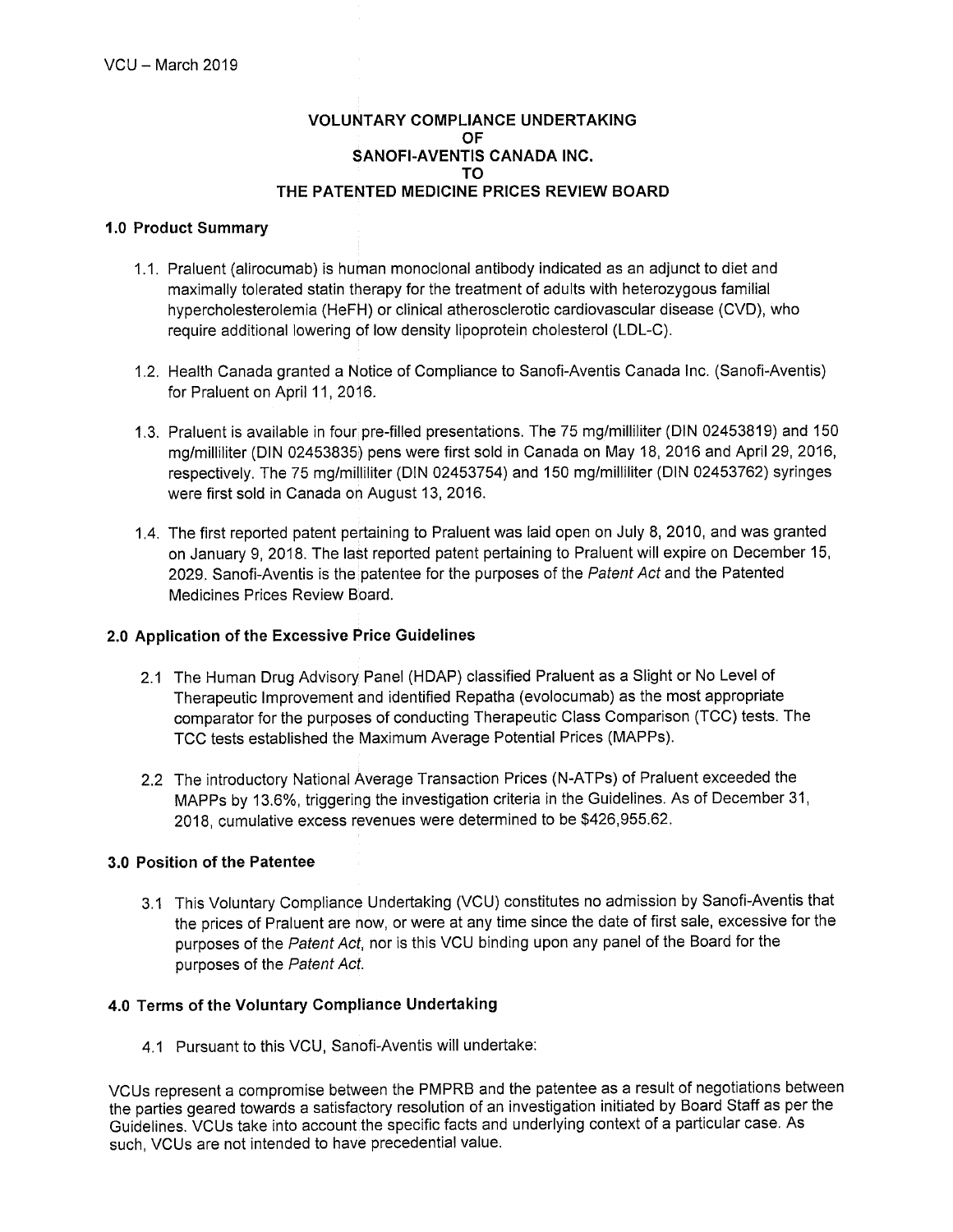## **VOLUNTARY COMPLIANCE UNDERTAKING OF** SANOFI-AVENTIS CANADA INC. TΩ THE PATENTED MEDICINE PRICES REVIEW BOARD

## 1.0 Product Summary

- 1.1. Praluent (alirocumab) is human monoclonal antibody indicated as an adjunct to diet and maximally tolerated statin therapy for the treatment of adults with heterozygous familial hypercholesterolemia (HeFH) or clinical atherosclerotic cardiovascular disease (CVD), who require additional lowering of low density lipoprotein cholesterol (LDL-C).
- 1.2. Health Canada granted a Notice of Compliance to Sanofi-Aventis Canada Inc. (Sanofi-Aventis) for Praluent on April 11, 2016.
- 1.3. Praluent is available in four pre-filled presentations. The 75 mg/milliliter (DIN 02453819) and 150 mg/milliliter (DIN 02453835) pens were first sold in Canada on May 18, 2016 and April 29, 2016, respectively. The 75 mg/milliliter (DIN 02453754) and 150 mg/milliliter (DIN 02453762) syringes were first sold in Canada on August 13, 2016.
- 1.4. The first reported patent pertaining to Praluent was laid open on July 8, 2010, and was granted on January 9, 2018. The last reported patent pertaining to Praluent will expire on December 15, 2029. Sanofi-Aventis is the patentee for the purposes of the Patent Act and the Patented Medicines Prices Review Board.

# 2.0 Application of the Excessive Price Guidelines

- 2.1 The Human Drug Advisory Panel (HDAP) classified Praluent as a Slight or No Level of Therapeutic Improvement and identified Repatha (evolocumab) as the most appropriate comparator for the purposes of conducting Therapeutic Class Comparison (TCC) tests. The TCC tests established the Maximum Average Potential Prices (MAPPs).
- 2.2 The introductory National Average Transaction Prices (N-ATPs) of Praluent exceeded the MAPPs by 13.6%, triggering the investigation criteria in the Guidelines. As of December 31, 2018, cumulative excess revenues were determined to be \$426,955.62.

## 3.0 Position of the Patentee

3.1 This Voluntary Compliance Undertaking (VCU) constitutes no admission by Sanofi-Aventis that the prices of Praluent are now, or were at any time since the date of first sale, excessive for the purposes of the Patent Act, nor is this VCU binding upon any panel of the Board for the purposes of the Patent Act.

## 4.0 Terms of the Voluntary Compliance Undertaking

4.1 Pursuant to this VCU, Sanofi-Aventis will undertake:

VCUs represent a compromise between the PMPRB and the patentee as a result of negotiations between the parties geared towards a satisfactory resolution of an investigation initiated by Board Staff as per the Guidelines. VCUs take into account the specific facts and underlying context of a particular case. As such. VCUs are not intended to have precedential value.